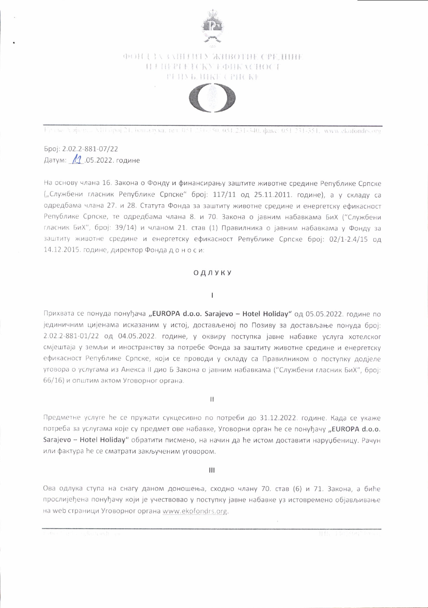

# **ФОНД ЗАЗАШТИТУ ЖИВОТНЕ СРЕДИНЕ** H / HEPPETCKY EQHKACHOCT PHINE HIKE CPHCKE



Finalse Aufweiter Alli Spoj 21, Биналука, тел. 051-231-350, 051.231-340, факс: 051.231-351, www.ekofondrs.org

Број: 2.02.2-881-07/22 Датум: 11.05.2022. године

На основу члана 16. Закона о Фонду и финансирању заштите животне средине Републике Српске ("Службени гласник Републике Српске" број: 117/11 од 25.11.2011. године), а у складу са одредбама члана 27. и 28. Статута Фонда за заштиту животне средине и енергетску ефикасност Републике Српске, те одредбама члана 8. и 70. Закона о јавним набавкама БиХ ("Службени гласник БиХ", број: 39/14) и чланом 21. став (1) Правилника о јавним набавкама у Фонду за заштиту животне средине и енергетску ефикасност Републике Српске број: 02/1-2.4/15 од 14.12.2015. године, директор Фонда доноси:

## ОДЛУКУ

#### $\overline{1}$

Прихвата се понуда понуђача "EUROPA d.o.o. Sarajevo - Hotel Holiday" од 05.05.2022. године по јединичним цијенама исказаним у истој, достављеној по Позиву за достављање понуда број: 2.02.2-881-01/22 од 04.05.2022. године, у оквиру поступка јавне набавке услуга хотелског смјештаја у земљи и иностранству за потребе Фонда за заштиту животне средине и енергетску ефикасност Републике Српске, који се проводи у складу са Правилником о поступку додјеле уговора о услугама из Анекса II дио Б Закона о јавним набавкама ("Службени гласник БиХ", број: 66/16) и општим актом Уговорног органа.

 $\mathbf{H}$ 

Предметне услуге ће се пружати сукцесивно по потреби до 31.12.2022. године. Када се укаже потреба за услугама које су предмет ове набавке, Уговорни орган ће се понуђачу "EUROPA d.o.o. Sarajevo - Hotel Holiday" обратити писмено, на начин да ће истом доставити наруџбеницу. Рачун или фактура ће се сматрати закљученим уговором.

Ш

Ова одлука ступа на снагу даном доношења, сходно члану 70. став (6) и 71. Закона, а биће прослијеђена понуђачу који је учествовао у поступку јавне набавке уз истовремено објављивање на web страници Уговорног органа www.ekofondrs.org.

1111, 140